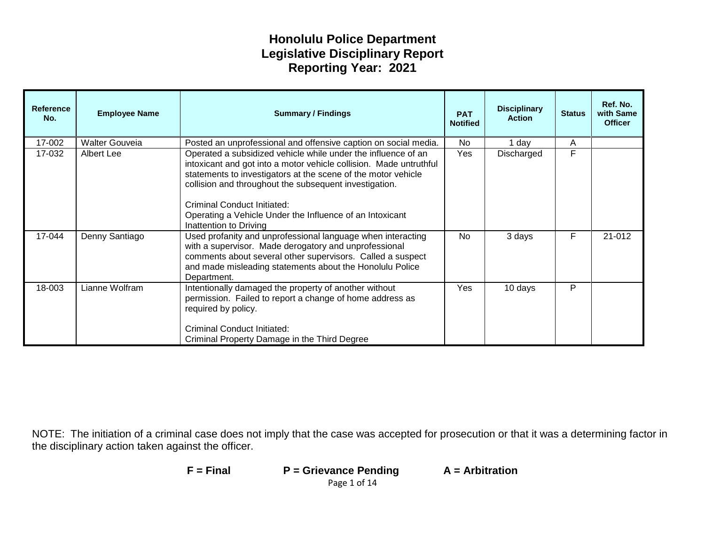| <b>Reference</b><br>No. | <b>Employee Name</b>  | <b>Summary / Findings</b>                                                                                                                                                                                                                                                                                                                                                           | <b>PAT</b><br><b>Notified</b> | <b>Disciplinary</b><br><b>Action</b> | <b>Status</b> | Ref. No.<br>with Same<br><b>Officer</b> |
|-------------------------|-----------------------|-------------------------------------------------------------------------------------------------------------------------------------------------------------------------------------------------------------------------------------------------------------------------------------------------------------------------------------------------------------------------------------|-------------------------------|--------------------------------------|---------------|-----------------------------------------|
| 17-002                  | <b>Walter Gouveia</b> | Posted an unprofessional and offensive caption on social media.                                                                                                                                                                                                                                                                                                                     | No.                           | 1 day                                | A             |                                         |
| 17-032                  | Albert Lee            | Operated a subsidized vehicle while under the influence of an<br>intoxicant and got into a motor vehicle collision. Made untruthful<br>statements to investigators at the scene of the motor vehicle<br>collision and throughout the subsequent investigation.<br>Criminal Conduct Initiated:<br>Operating a Vehicle Under the Influence of an Intoxicant<br>Inattention to Driving | Yes                           | Discharged                           | F             |                                         |
| 17-044                  | Denny Santiago        | Used profanity and unprofessional language when interacting<br>with a supervisor. Made derogatory and unprofessional<br>comments about several other supervisors. Called a suspect<br>and made misleading statements about the Honolulu Police<br>Department.                                                                                                                       | <b>No</b>                     | 3 days                               | F             | 21-012                                  |
| 18-003                  | Lianne Wolfram        | Intentionally damaged the property of another without<br>permission. Failed to report a change of home address as<br>required by policy.<br>Criminal Conduct Initiated:<br>Criminal Property Damage in the Third Degree                                                                                                                                                             | Yes                           | 10 days                              | P             |                                         |

| $F = Find$ | $P =$ Grievance Pending | $A =$ Arbitration |
|------------|-------------------------|-------------------|
|            | Page 1 of 14            |                   |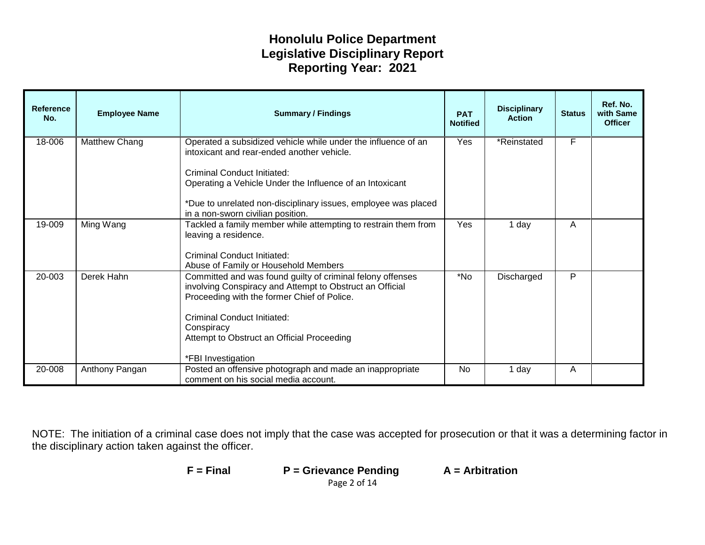| <b>Reference</b><br>No. | <b>Employee Name</b> | <b>Summary / Findings</b>                                                                                                                                                                                                                                                                                     | <b>PAT</b><br><b>Notified</b> | <b>Disciplinary</b><br><b>Action</b> | <b>Status</b> | Ref. No.<br>with Same<br><b>Officer</b> |
|-------------------------|----------------------|---------------------------------------------------------------------------------------------------------------------------------------------------------------------------------------------------------------------------------------------------------------------------------------------------------------|-------------------------------|--------------------------------------|---------------|-----------------------------------------|
| 18-006                  | Matthew Chang        | Operated a subsidized vehicle while under the influence of an<br>intoxicant and rear-ended another vehicle.<br>Criminal Conduct Initiated:<br>Operating a Vehicle Under the Influence of an Intoxicant<br>*Due to unrelated non-disciplinary issues, employee was placed<br>in a non-sworn civilian position. | Yes                           | *Reinstated                          | F             |                                         |
| 19-009                  | Ming Wang            | Tackled a family member while attempting to restrain them from<br>leaving a residence.<br>Criminal Conduct Initiated:<br>Abuse of Family or Household Members                                                                                                                                                 | Yes                           | 1 day                                | A             |                                         |
| 20-003                  | Derek Hahn           | Committed and was found guilty of criminal felony offenses<br>involving Conspiracy and Attempt to Obstruct an Official<br>Proceeding with the former Chief of Police.<br>Criminal Conduct Initiated:<br>Conspiracy<br>Attempt to Obstruct an Official Proceeding<br>*FBI Investigation                        | *No                           | Discharged                           | P             |                                         |
| 20-008                  | Anthony Pangan       | Posted an offensive photograph and made an inappropriate<br>comment on his social media account.                                                                                                                                                                                                              | <b>No</b>                     | 1 day                                | A             |                                         |

| $F = Final$ | $P =$ Grievance Pending | $A =$ Arbitration |
|-------------|-------------------------|-------------------|
|             | Page 2 of 14            |                   |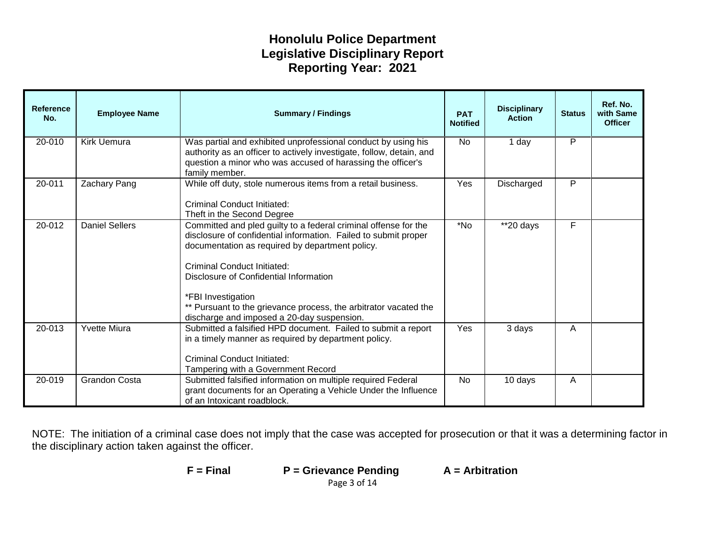| <b>Reference</b><br>No. | <b>Employee Name</b>  | <b>Summary / Findings</b>                                                                                                                                                                                                                                                                                                                                                                                     | <b>PAT</b><br><b>Notified</b> | <b>Disciplinary</b><br><b>Action</b> | <b>Status</b> | Ref. No.<br>with Same<br><b>Officer</b> |
|-------------------------|-----------------------|---------------------------------------------------------------------------------------------------------------------------------------------------------------------------------------------------------------------------------------------------------------------------------------------------------------------------------------------------------------------------------------------------------------|-------------------------------|--------------------------------------|---------------|-----------------------------------------|
| 20-010                  | Kirk Uemura           | Was partial and exhibited unprofessional conduct by using his<br>authority as an officer to actively investigate, follow, detain, and<br>question a minor who was accused of harassing the officer's<br>family member.                                                                                                                                                                                        | <b>No</b>                     | 1 day                                | P             |                                         |
| 20-011                  | Zachary Pang          | While off duty, stole numerous items from a retail business.<br>Criminal Conduct Initiated:<br>Theft in the Second Degree                                                                                                                                                                                                                                                                                     | Yes                           | Discharged                           | P             |                                         |
| 20-012                  | <b>Daniel Sellers</b> | Committed and pled guilty to a federal criminal offense for the<br>disclosure of confidential information. Failed to submit proper<br>documentation as required by department policy.<br><b>Criminal Conduct Initiated:</b><br>Disclosure of Confidential Information<br>*FBI Investigation<br>** Pursuant to the grievance process, the arbitrator vacated the<br>discharge and imposed a 20-day suspension. | *No                           | $*$ 20 days                          | F             |                                         |
| 20-013                  | <b>Yvette Miura</b>   | Submitted a falsified HPD document. Failed to submit a report<br>in a timely manner as required by department policy.<br><b>Criminal Conduct Initiated:</b><br>Tampering with a Government Record                                                                                                                                                                                                             | Yes                           | 3 days                               | A             |                                         |
| 20-019                  | <b>Grandon Costa</b>  | Submitted falsified information on multiple required Federal<br>grant documents for an Operating a Vehicle Under the Influence<br>of an Intoxicant roadblock.                                                                                                                                                                                                                                                 | <b>No</b>                     | 10 days                              | A             |                                         |

| $F = Final$ | $P =$ Grievance Pending | $A =$ Arbitration |
|-------------|-------------------------|-------------------|
|             | Page 3 of 14            |                   |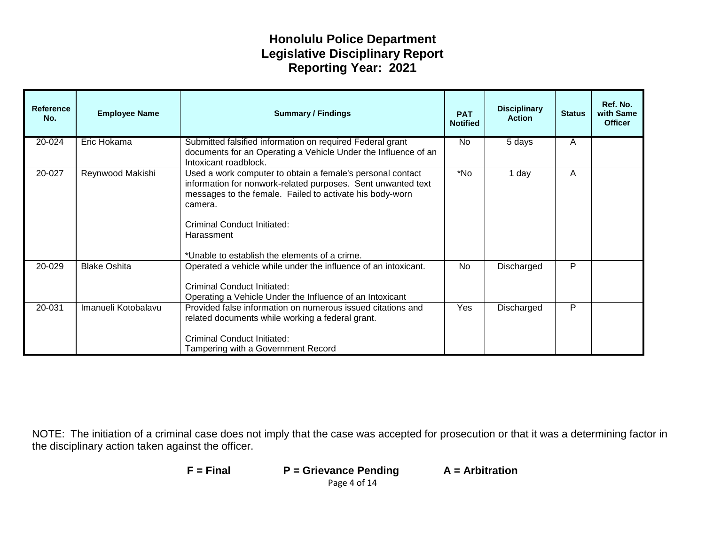| <b>Reference</b><br>No. | <b>Employee Name</b> | <b>Summary / Findings</b>                                                                                                                                                                                                                                                                       | <b>PAT</b><br><b>Notified</b> | <b>Disciplinary</b><br><b>Action</b> | <b>Status</b> | Ref. No.<br>with Same<br><b>Officer</b> |
|-------------------------|----------------------|-------------------------------------------------------------------------------------------------------------------------------------------------------------------------------------------------------------------------------------------------------------------------------------------------|-------------------------------|--------------------------------------|---------------|-----------------------------------------|
| 20-024                  | Eric Hokama          | Submitted falsified information on required Federal grant<br>documents for an Operating a Vehicle Under the Influence of an<br>Intoxicant roadblock.                                                                                                                                            | No                            | 5 days                               | A             |                                         |
| 20-027                  | Reynwood Makishi     | Used a work computer to obtain a female's personal contact<br>information for nonwork-related purposes. Sent unwanted text<br>messages to the female. Failed to activate his body-worn<br>camera.<br>Criminal Conduct Initiated:<br>Harassment<br>*Unable to establish the elements of a crime. | *No                           | 1 day                                | A             |                                         |
| 20-029                  | <b>Blake Oshita</b>  | Operated a vehicle while under the influence of an intoxicant.<br>Criminal Conduct Initiated:<br>Operating a Vehicle Under the Influence of an Intoxicant                                                                                                                                       | No.                           | Discharged                           | P             |                                         |
| 20-031                  | Imanueli Kotobalavu  | Provided false information on numerous issued citations and<br>related documents while working a federal grant.<br>Criminal Conduct Initiated:<br>Tampering with a Government Record                                                                                                            | Yes                           | Discharged                           | P             |                                         |

| $F = Find$ | $P =$ Grievance Pending | $A =$ Arbitration |
|------------|-------------------------|-------------------|
|            | Page 4 of 14            |                   |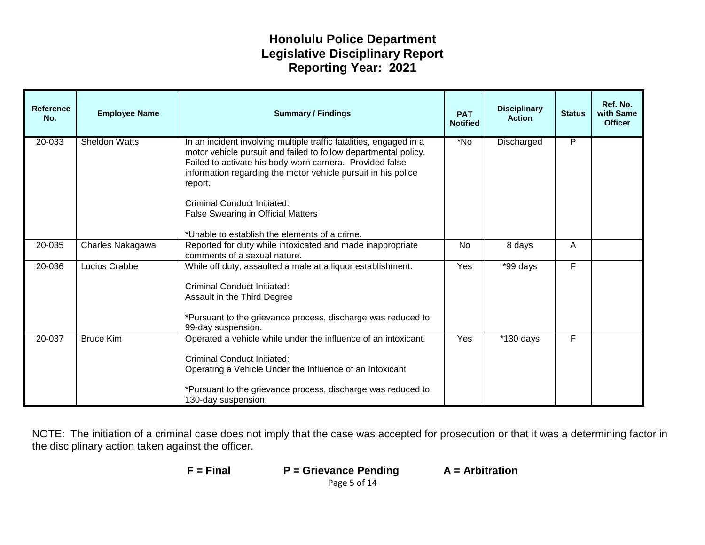| <b>Reference</b><br>No. | <b>Employee Name</b> | <b>Summary / Findings</b>                                                                                                                                                                                                                                                                                                                                                                                 | <b>PAT</b><br><b>Notified</b> | <b>Disciplinary</b><br><b>Action</b> | <b>Status</b>  | Ref. No.<br>with Same<br><b>Officer</b> |
|-------------------------|----------------------|-----------------------------------------------------------------------------------------------------------------------------------------------------------------------------------------------------------------------------------------------------------------------------------------------------------------------------------------------------------------------------------------------------------|-------------------------------|--------------------------------------|----------------|-----------------------------------------|
| 20-033                  | <b>Sheldon Watts</b> | In an incident involving multiple traffic fatalities, engaged in a<br>motor vehicle pursuit and failed to follow departmental policy.<br>Failed to activate his body-worn camera. Provided false<br>information regarding the motor vehicle pursuit in his police<br>report.<br>Criminal Conduct Initiated:<br><b>False Swearing in Official Matters</b><br>*Unable to establish the elements of a crime. | N <sub>o</sub>                | Discharged                           | $\overline{P}$ |                                         |
| 20-035                  | Charles Nakagawa     | Reported for duty while intoxicated and made inappropriate<br>comments of a sexual nature.                                                                                                                                                                                                                                                                                                                | <b>No</b>                     | 8 days                               | A              |                                         |
| 20-036                  | Lucius Crabbe        | While off duty, assaulted a male at a liquor establishment.<br><b>Criminal Conduct Initiated:</b><br>Assault in the Third Degree<br>*Pursuant to the grievance process, discharge was reduced to<br>99-day suspension.                                                                                                                                                                                    | Yes                           | *99 days                             | F              |                                         |
| 20-037                  | <b>Bruce Kim</b>     | Operated a vehicle while under the influence of an intoxicant.<br><b>Criminal Conduct Initiated:</b><br>Operating a Vehicle Under the Influence of an Intoxicant<br>*Pursuant to the grievance process, discharge was reduced to<br>130-day suspension.                                                                                                                                                   | Yes                           | $*130$ days                          | F              |                                         |

| F = Final | $P =$ Grievance Pending | $A =$ Arbitration |
|-----------|-------------------------|-------------------|
|           | Page 5 of 14            |                   |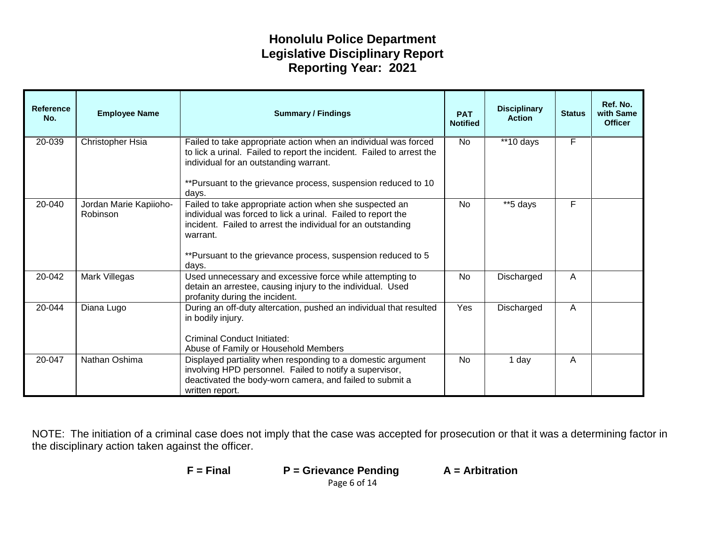| <b>Reference</b><br>No. | <b>Employee Name</b>               | <b>Summary / Findings</b>                                                                                                                                                                                                                                                             | <b>PAT</b><br><b>Notified</b> | <b>Disciplinary</b><br><b>Action</b> | <b>Status</b> | Ref. No.<br>with Same<br><b>Officer</b> |
|-------------------------|------------------------------------|---------------------------------------------------------------------------------------------------------------------------------------------------------------------------------------------------------------------------------------------------------------------------------------|-------------------------------|--------------------------------------|---------------|-----------------------------------------|
| 20-039                  | Christopher Hsia                   | Failed to take appropriate action when an individual was forced<br>to lick a urinal. Failed to report the incident. Failed to arrest the<br>individual for an outstanding warrant.<br>**Pursuant to the grievance process, suspension reduced to 10                                   | <b>No</b>                     | **10 days                            | F             |                                         |
| 20-040                  | Jordan Marie Kapiioho-<br>Robinson | days.<br>Failed to take appropriate action when she suspected an<br>individual was forced to lick a urinal. Failed to report the<br>incident. Failed to arrest the individual for an outstanding<br>warrant.<br>**Pursuant to the grievance process, suspension reduced to 5<br>days. | <b>No</b>                     | **5 days                             | F             |                                         |
| 20-042                  | Mark Villegas                      | Used unnecessary and excessive force while attempting to<br>detain an arrestee, causing injury to the individual. Used<br>profanity during the incident.                                                                                                                              | No                            | Discharged                           | A             |                                         |
| 20-044                  | Diana Lugo                         | During an off-duty altercation, pushed an individual that resulted<br>in bodily injury.<br><b>Criminal Conduct Initiated:</b><br>Abuse of Family or Household Members                                                                                                                 | Yes                           | Discharged                           | A             |                                         |
| 20-047                  | Nathan Oshima                      | Displayed partiality when responding to a domestic argument<br>involving HPD personnel. Failed to notify a supervisor,<br>deactivated the body-worn camera, and failed to submit a<br>written report.                                                                                 | <b>No</b>                     | 1 day                                | A             |                                         |

| $F = Final$ | $P =$ Grievance Pending | $A =$ Arbitration |
|-------------|-------------------------|-------------------|
|             | Page 6 of 14            |                   |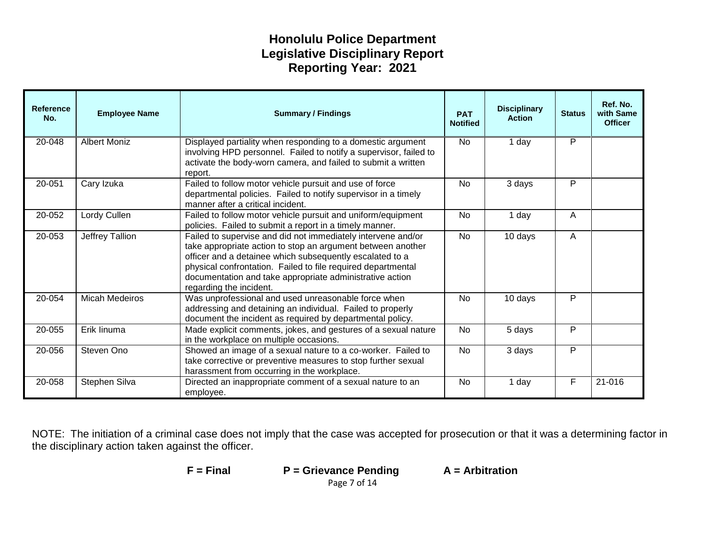| <b>Reference</b><br>No. | <b>Employee Name</b>  | <b>Disciplinary</b><br><b>Summary / Findings</b><br><b>PAT</b><br><b>Action</b><br><b>Notified</b>                                                                                                                                                                                                                                             |                          | <b>Status</b> | Ref. No.<br>with Same<br><b>Officer</b> |        |
|-------------------------|-----------------------|------------------------------------------------------------------------------------------------------------------------------------------------------------------------------------------------------------------------------------------------------------------------------------------------------------------------------------------------|--------------------------|---------------|-----------------------------------------|--------|
| 20-048                  | <b>Albert Moniz</b>   | Displayed partiality when responding to a domestic argument<br>involving HPD personnel. Failed to notify a supervisor, failed to<br>activate the body-worn camera, and failed to submit a written<br>report.                                                                                                                                   | <b>No</b>                | 1 day         | $\overline{P}$                          |        |
| 20-051                  | Cary Izuka            | Failed to follow motor vehicle pursuit and use of force<br>departmental policies. Failed to notify supervisor in a timely<br>manner after a critical incident.                                                                                                                                                                                 | P<br><b>No</b><br>3 days |               |                                         |        |
| 20-052                  | Lordy Cullen          | Failed to follow motor vehicle pursuit and uniform/equipment<br>policies. Failed to submit a report in a timely manner.                                                                                                                                                                                                                        | No<br>1 day              |               | A                                       |        |
| 20-053                  | Jeffrey Tallion       | Failed to supervise and did not immediately intervene and/or<br>take appropriate action to stop an argument between another<br>officer and a detainee which subsequently escalated to a<br>physical confrontation. Failed to file required departmental<br>documentation and take appropriate administrative action<br>regarding the incident. | <b>No</b>                | 10 days<br>A  |                                         |        |
| 20-054                  | <b>Micah Medeiros</b> | Was unprofessional and used unreasonable force when<br>addressing and detaining an individual. Failed to properly<br>document the incident as required by departmental policy.                                                                                                                                                                 | No.                      | P<br>10 days  |                                         |        |
| 20-055                  | Erik linuma           | Made explicit comments, jokes, and gestures of a sexual nature<br>in the workplace on multiple occasions.                                                                                                                                                                                                                                      | P<br>No<br>5 days        |               |                                         |        |
| 20-056                  | Steven Ono            | Showed an image of a sexual nature to a co-worker. Failed to<br><b>No</b><br>take corrective or preventive measures to stop further sexual<br>harassment from occurring in the workplace.                                                                                                                                                      |                          | 3 days        | P                                       |        |
| 20-058                  | Stephen Silva         | Directed an inappropriate comment of a sexual nature to an<br>employee.                                                                                                                                                                                                                                                                        | <b>No</b>                | 1 day         | F                                       | 21-016 |

NOTE: The initiation of a criminal case does not imply that the case was accepted for prosecution or that it was a determining factor in the disciplinary action taken against the officer.

**F = Final P = Grievance Pending A = Arbitration**

Page 7 of 14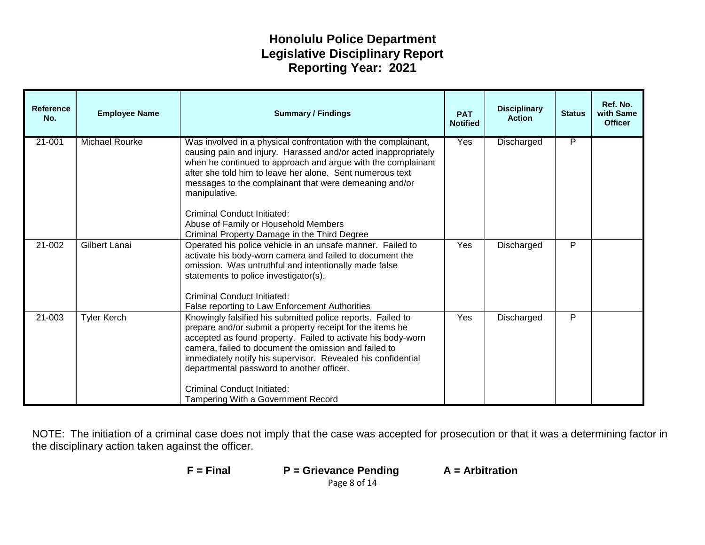| <b>Reference</b><br>No. | <b>Employee Name</b>  | <b>Summary / Findings</b><br><b>PAT</b><br><b>Action</b><br><b>Notified</b>                                                                                                                                                                                                                                                                                                                                                                |     | <b>Disciplinary</b> | <b>Status</b> | Ref. No.<br>with Same<br><b>Officer</b> |
|-------------------------|-----------------------|--------------------------------------------------------------------------------------------------------------------------------------------------------------------------------------------------------------------------------------------------------------------------------------------------------------------------------------------------------------------------------------------------------------------------------------------|-----|---------------------|---------------|-----------------------------------------|
| $21 - 001$              | <b>Michael Rourke</b> | Was involved in a physical confrontation with the complainant,<br>causing pain and injury. Harassed and/or acted inappropriately<br>when he continued to approach and argue with the complainant<br>after she told him to leave her alone. Sent numerous text<br>messages to the complainant that were demeaning and/or<br>manipulative.<br><b>Criminal Conduct Initiated:</b><br>Abuse of Family or Household Members                     | Yes | Discharged          | P             |                                         |
| 21-002                  | <b>Gilbert Lanai</b>  | Criminal Property Damage in the Third Degree<br>Operated his police vehicle in an unsafe manner. Failed to<br>activate his body-worn camera and failed to document the<br>omission. Was untruthful and intentionally made false<br>statements to police investigator(s).<br><b>Criminal Conduct Initiated:</b><br>False reporting to Law Enforcement Authorities                                                                           | Yes | Discharged          | P             |                                         |
| 21-003                  | <b>Tyler Kerch</b>    | Knowingly falsified his submitted police reports. Failed to<br>prepare and/or submit a property receipt for the items he<br>accepted as found property. Failed to activate his body-worn<br>camera, failed to document the omission and failed to<br>immediately notify his supervisor. Revealed his confidential<br>departmental password to another officer.<br><b>Criminal Conduct Initiated:</b><br>Tampering With a Government Record | Yes | Discharged          | P             |                                         |

| F = Final | $P =$ Grievance Pending | $A =$ Arbitration |
|-----------|-------------------------|-------------------|
|           | Page 8 of 14            |                   |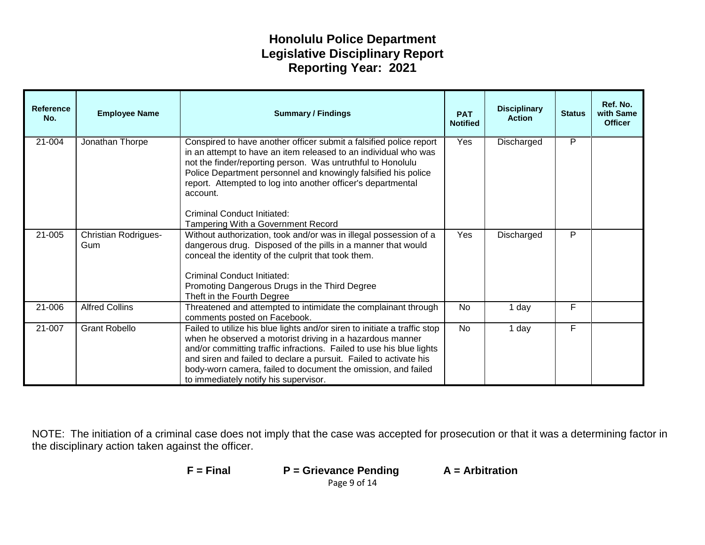| <b>Reference</b><br>No. | <b>Employee Name</b>               | <b>Disciplinary</b><br><b>Summary / Findings</b><br><b>PAT</b><br><b>Action</b><br><b>Notified</b>                                                                                                                                                                                                                                                                                            |                   | <b>Status</b>   | Ref. No.<br>with Same<br><b>Officer</b> |  |
|-------------------------|------------------------------------|-----------------------------------------------------------------------------------------------------------------------------------------------------------------------------------------------------------------------------------------------------------------------------------------------------------------------------------------------------------------------------------------------|-------------------|-----------------|-----------------------------------------|--|
| 21-004                  | Jonathan Thorpe                    | Conspired to have another officer submit a falsified police report<br>in an attempt to have an item released to an individual who was<br>not the finder/reporting person. Was untruthful to Honolulu<br>Police Department personnel and knowingly falsified his police<br>report. Attempted to log into another officer's departmental<br>account.<br><b>Criminal Conduct Initiated:</b>      | Yes<br>Discharged |                 | P                                       |  |
|                         |                                    | Tampering With a Government Record                                                                                                                                                                                                                                                                                                                                                            |                   |                 |                                         |  |
| 21-005                  | <b>Christian Rodrigues-</b><br>Gum | Without authorization, took and/or was in illegal possession of a<br>dangerous drug. Disposed of the pills in a manner that would<br>conceal the identity of the culprit that took them.<br><b>Criminal Conduct Initiated:</b><br>Promoting Dangerous Drugs in the Third Degree<br>Theft in the Fourth Degree                                                                                 | Yes               | P<br>Discharged |                                         |  |
| 21-006                  | <b>Alfred Collins</b>              | Threatened and attempted to intimidate the complainant through<br>comments posted on Facebook.                                                                                                                                                                                                                                                                                                | <b>No</b>         | 1 day           | F                                       |  |
| 21-007                  | <b>Grant Robello</b>               | Failed to utilize his blue lights and/or siren to initiate a traffic stop<br>when he observed a motorist driving in a hazardous manner<br>and/or committing traffic infractions. Failed to use his blue lights<br>and siren and failed to declare a pursuit. Failed to activate his<br>body-worn camera, failed to document the omission, and failed<br>to immediately notify his supervisor. | <b>No</b>         | 1 day           | F                                       |  |

| $F = Final$ | $P =$ Grievance Pending | $A =$ Arbitration |  |  |
|-------------|-------------------------|-------------------|--|--|
|             | Page 9 of 14            |                   |  |  |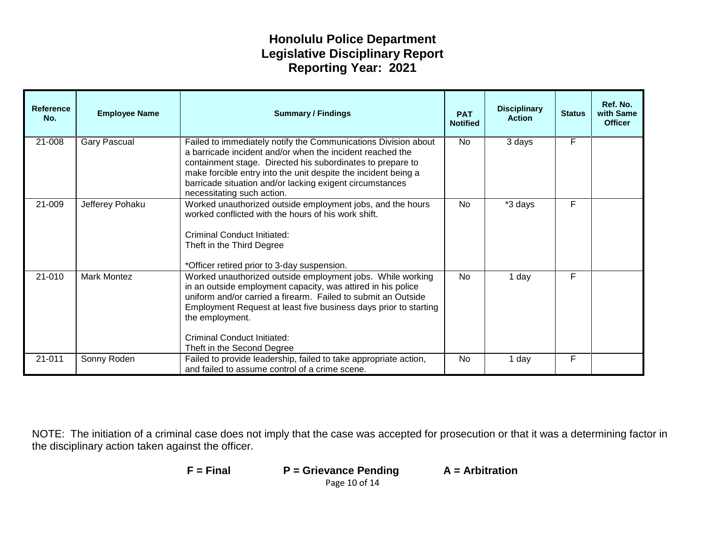| <b>Reference</b><br>No. | <b>Employee Name</b> | <b>Summary / Findings</b>                                                                                                                                                                                                                                                                                                                              | <b>PAT</b><br><b>Notified</b> | <b>Disciplinary</b><br><b>Action</b> | <b>Status</b> | Ref. No.<br>with Same<br><b>Officer</b> |
|-------------------------|----------------------|--------------------------------------------------------------------------------------------------------------------------------------------------------------------------------------------------------------------------------------------------------------------------------------------------------------------------------------------------------|-------------------------------|--------------------------------------|---------------|-----------------------------------------|
| 21-008                  | <b>Gary Pascual</b>  | Failed to immediately notify the Communications Division about<br>a barricade incident and/or when the incident reached the<br>containment stage. Directed his subordinates to prepare to<br>make forcible entry into the unit despite the incident being a<br>barricade situation and/or lacking exigent circumstances<br>necessitating such action.  | No.                           | 3 days                               | F             |                                         |
| 21-009                  | Jefferey Pohaku      | Worked unauthorized outside employment jobs, and the hours<br>worked conflicted with the hours of his work shift.<br>Criminal Conduct Initiated:<br>Theft in the Third Degree<br>*Officer retired prior to 3-day suspension.                                                                                                                           | <b>No</b>                     | *3 days                              | F             |                                         |
| 21-010                  | Mark Montez          | Worked unauthorized outside employment jobs. While working<br>in an outside employment capacity, was attired in his police<br>uniform and/or carried a firearm. Failed to submit an Outside<br>Employment Request at least five business days prior to starting<br>the employment.<br><b>Criminal Conduct Initiated:</b><br>Theft in the Second Degree | <b>No</b>                     | 1 day                                | F             |                                         |
| 21-011                  | Sonny Roden          | Failed to provide leadership, failed to take appropriate action,<br>and failed to assume control of a crime scene.                                                                                                                                                                                                                                     | No                            | 1 day                                | F             |                                         |

| $F = Final$ | $P =$ Grievance Pending | $A =$ Arbitration |
|-------------|-------------------------|-------------------|
|             | Page 10 of 14           |                   |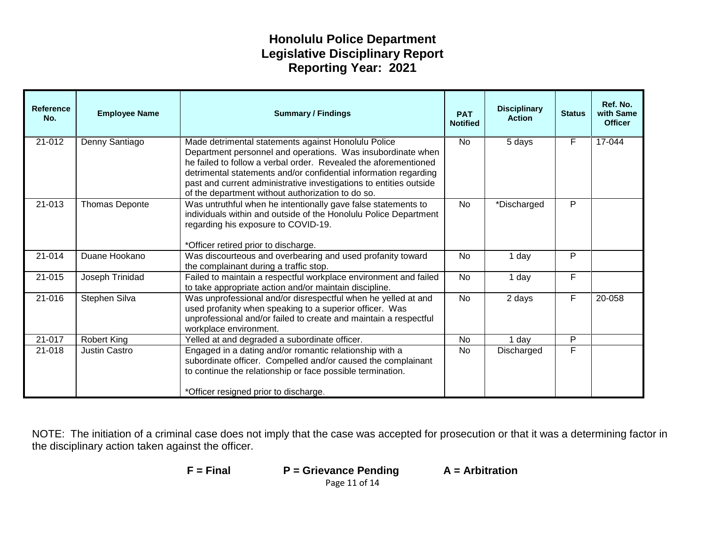| <b>Reference</b><br>No. | <b>Employee Name</b> | <b>Disciplinary</b><br><b>Summary / Findings</b><br><b>PAT</b><br><b>Action</b><br><b>Notified</b>                                                                                                                                                                                                                                                                                   |                          | <b>Status</b> | Ref. No.<br>with Same<br><b>Officer</b> |            |
|-------------------------|----------------------|--------------------------------------------------------------------------------------------------------------------------------------------------------------------------------------------------------------------------------------------------------------------------------------------------------------------------------------------------------------------------------------|--------------------------|---------------|-----------------------------------------|------------|
| $21 - 012$              | Denny Santiago       | Made detrimental statements against Honolulu Police<br>Department personnel and operations. Was insubordinate when<br>he failed to follow a verbal order. Revealed the aforementioned<br>detrimental statements and/or confidential information regarding<br>past and current administrative investigations to entities outside<br>of the department without authorization to do so. | <b>No</b><br>5 days      |               | F                                       | $17 - 044$ |
| 21-013                  | Thomas Deponte       | Was untruthful when he intentionally gave false statements to<br>individuals within and outside of the Honolulu Police Department<br>regarding his exposure to COVID-19.<br>*Officer retired prior to discharge.                                                                                                                                                                     | <b>No</b><br>*Discharged |               | P                                       |            |
| 21-014                  | Duane Hookano        | Was discourteous and overbearing and used profanity toward<br>the complainant during a traffic stop.                                                                                                                                                                                                                                                                                 | 1 day<br><b>No</b>       |               | P                                       |            |
| 21-015                  | Joseph Trinidad      | Failed to maintain a respectful workplace environment and failed<br>to take appropriate action and/or maintain discipline.                                                                                                                                                                                                                                                           | No<br>1 day              |               | F                                       |            |
| 21-016                  | Stephen Silva        | Was unprofessional and/or disrespectful when he yelled at and<br>used profanity when speaking to a superior officer. Was<br>unprofessional and/or failed to create and maintain a respectful<br>workplace environment.                                                                                                                                                               | <b>No</b>                | F<br>2 days   |                                         | 20-058     |
| 21-017                  | <b>Robert King</b>   | Yelled at and degraded a subordinate officer.                                                                                                                                                                                                                                                                                                                                        | <b>No</b>                | 1 day         | P                                       |            |
| 21-018                  | <b>Justin Castro</b> | Engaged in a dating and/or romantic relationship with a<br>subordinate officer. Compelled and/or caused the complainant<br>to continue the relationship or face possible termination.<br>*Officer resigned prior to discharge.                                                                                                                                                       | No.                      | Discharged    | F                                       |            |

NOTE: The initiation of a criminal case does not imply that the case was accepted for prosecution or that it was a determining factor in the disciplinary action taken against the officer.

**F = Final P = Grievance Pending A = Arbitration**

Page 11 of 14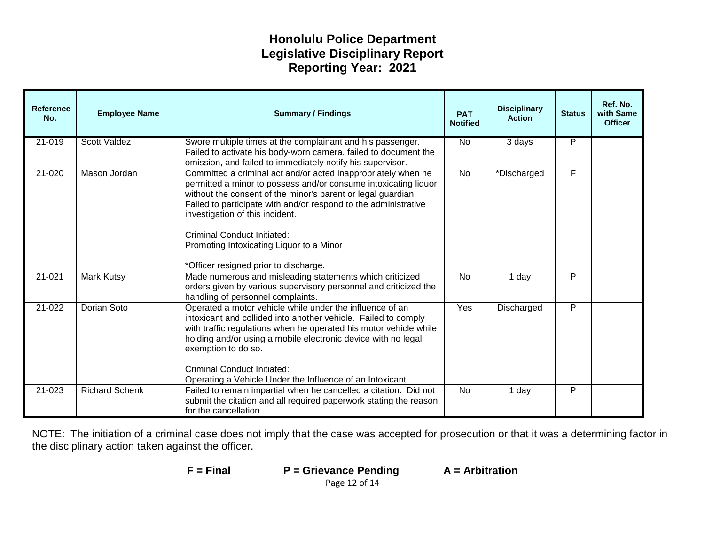| <b>Reference</b><br>No. | <b>Employee Name</b>  | <b>Disciplinary</b><br><b>Summary / Findings</b><br><b>PAT</b><br><b>Action</b><br><b>Notified</b>                                                                                                                                                                                                                                                                                                                                |                          | <b>Status</b>   | Ref. No.<br>with Same<br><b>Officer</b> |  |
|-------------------------|-----------------------|-----------------------------------------------------------------------------------------------------------------------------------------------------------------------------------------------------------------------------------------------------------------------------------------------------------------------------------------------------------------------------------------------------------------------------------|--------------------------|-----------------|-----------------------------------------|--|
| $21 - 019$              | <b>Scott Valdez</b>   | Swore multiple times at the complainant and his passenger.<br>Failed to activate his body-worn camera, failed to document the<br>omission, and failed to immediately notify his supervisor.                                                                                                                                                                                                                                       | P<br><b>No</b><br>3 days |                 |                                         |  |
| 21-020                  | Mason Jordan          | Committed a criminal act and/or acted inappropriately when he<br>permitted a minor to possess and/or consume intoxicating liquor<br>without the consent of the minor's parent or legal guardian.<br>Failed to participate with and/or respond to the administrative<br>investigation of this incident.<br><b>Criminal Conduct Initiated:</b><br>Promoting Intoxicating Liquor to a Minor<br>*Officer resigned prior to discharge. | *Discharged<br><b>No</b> |                 | F                                       |  |
| 21-021                  | Mark Kutsy            | Made numerous and misleading statements which criticized<br>orders given by various supervisory personnel and criticized the<br>handling of personnel complaints.                                                                                                                                                                                                                                                                 | <b>No</b>                | 1 day           | P                                       |  |
| 21-022                  | Dorian Soto           | Operated a motor vehicle while under the influence of an<br>intoxicant and collided into another vehicle. Failed to comply<br>with traffic regulations when he operated his motor vehicle while<br>holding and/or using a mobile electronic device with no legal<br>exemption to do so.<br>Criminal Conduct Initiated:<br>Operating a Vehicle Under the Influence of an Intoxicant                                                | Yes                      | Discharged<br>P |                                         |  |
| 21-023                  | <b>Richard Schenk</b> | Failed to remain impartial when he cancelled a citation. Did not<br>submit the citation and all required paperwork stating the reason<br>for the cancellation.                                                                                                                                                                                                                                                                    | <b>No</b>                | 1 day           | P                                       |  |

NOTE: The initiation of a criminal case does not imply that the case was accepted for prosecution or that it was a determining factor in the disciplinary action taken against the officer.

**F = Final P = Grievance Pending A = Arbitration**

Page 12 of 14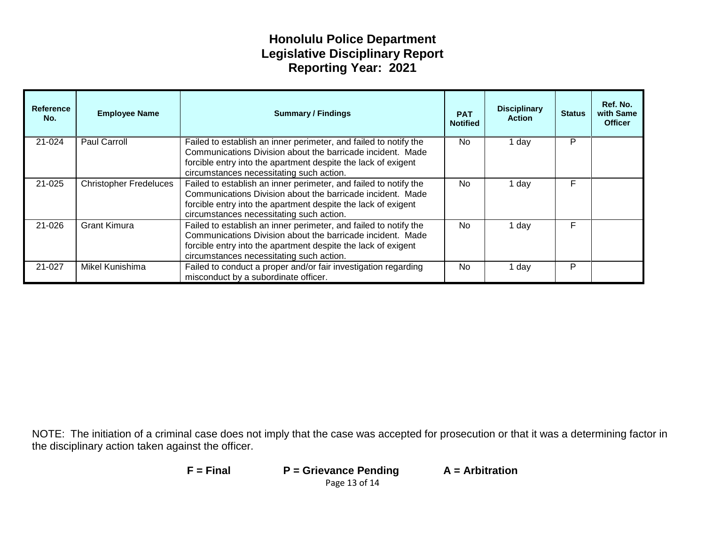| <b>Reference</b><br>No. | <b>Employee Name</b>          | <b>Summary / Findings</b>                                                                                                                                                                                                                   | <b>PAT</b><br><b>Notified</b> | <b>Disciplinary</b><br><b>Status</b><br><b>Action</b> |   | Ref. No.<br>with Same<br><b>Officer</b> |
|-------------------------|-------------------------------|---------------------------------------------------------------------------------------------------------------------------------------------------------------------------------------------------------------------------------------------|-------------------------------|-------------------------------------------------------|---|-----------------------------------------|
| 21-024                  | Paul Carroll                  | Failed to establish an inner perimeter, and failed to notify the<br>Communications Division about the barricade incident. Made<br>forcible entry into the apartment despite the lack of exigent<br>circumstances necessitating such action. | No.                           | 1 day                                                 | P |                                         |
| 21-025                  | <b>Christopher Fredeluces</b> | Failed to establish an inner perimeter, and failed to notify the<br>Communications Division about the barricade incident. Made<br>forcible entry into the apartment despite the lack of exigent<br>circumstances necessitating such action. | N <sub>0</sub>                | 1 dav                                                 | F |                                         |
| 21-026                  | <b>Grant Kimura</b>           | Failed to establish an inner perimeter, and failed to notify the<br>Communications Division about the barricade incident. Made<br>forcible entry into the apartment despite the lack of exigent<br>circumstances necessitating such action. | F<br>N <sub>0</sub><br>1 day  |                                                       |   |                                         |
| 21-027                  | Mikel Kunishima               | Failed to conduct a proper and/or fair investigation regarding<br>misconduct by a subordinate officer.                                                                                                                                      | No.                           | 1 day                                                 | P |                                         |

| $F = Find$ | $P =$ Grievance Pending | $A =$ Arbitration |
|------------|-------------------------|-------------------|
|            | Page 13 of 14           |                   |